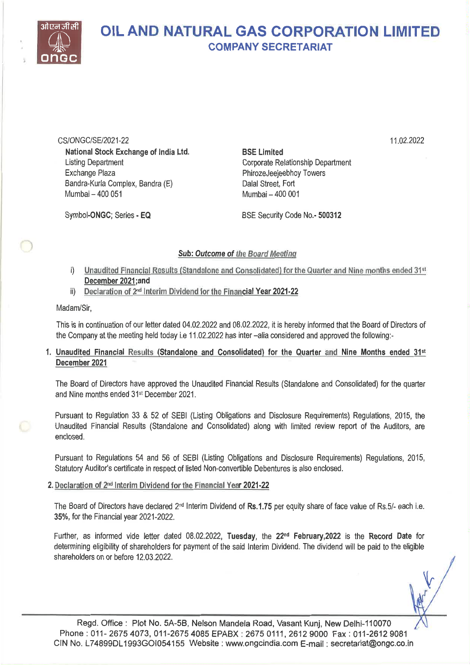

## OIL AND NATURAL GAS CORPORATION LIMITED COMPANY SECRETARIAT

CS/ONGC/SE/2021-22 National Stock Exchange of India Ltd. Listing Department Exchange Plaza Bandra-Kurla Complex, Bandra (E) Mumbai — 400 051

BSE Limited Corporate Relationship Department PhirozeJeejeebhoy Towers Dalai Street, Fort Mumbai — 400 001

11.02.2022

Symbol-ONGC; Series - EQ

BSE Security Code No.- 500312

## Sub: Outcome of the Board Meeting

- i) Unaudited Financial Results (Standalone and Consolidated) for the Quarter and Nine months ended  $31st$ December 2021;and
- ii) Declaration of 2<sup>nd</sup> Interim Dividend for the Financial Year 2021-22

## Madam/Sir,

This is in continuation of our letter dated 04.02.2022 and 08.02.2022, it is hereby informed that the Board of Directors of the Company at the meeting held today i.e 11.02.2022 has inter —alia considered and approved the following:-

## 1. Unaudited Financial Results (Standalone and Consolidated) for the Quarter and Nine Months ended 31st December 2021

The Board of Directors have approved the Unaudited Financial Results (Standalone and Consolidated) for the quarter and Nine months ended 31st December 2021.

Pursuant to Regulation 33 & 52 of SEBI (Listing Obligations and Disclosure Requirements) Regulations, 2015, the Unaudited Financial Results (Standalone and Consolidated) along with limited review report of the Auditors, are enclosed.

Pursuant to Regulations 54 and 56 of SEBI (Listing Obligations and Disclosure Requirements) Regulations, 2015, Statutory Auditor's certificate in respect of listed Non-convertible Debentures is also enclosed.

## 2. Declaration of 2nd Interim Dividend for the Financial Year 2021-22

The Board of Directors have declared  $2^{nd}$  Interim Dividend of Rs.1.75 per equity share of face value of Rs.5/- each i.e. 35%, for the Financial year 2021-2022.

Further, as informed vide letter dated 08.02.2022, Tuesday, the 22<sup>nd</sup> February, 2022 is the Record Date for determining eligibility of shareholders for payment of the said Interim Dividend. The dividend will be paid to the eligible shareholders on or before 12.03.2022.